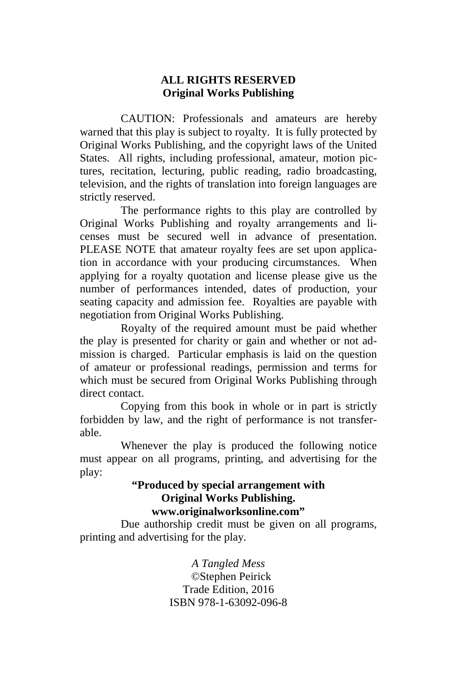#### **ALL RIGHTS RESERVED Original Works Publishing**

 CAUTION: Professionals and amateurs are hereby warned that this play is subject to royalty. It is fully protected by Original Works Publishing, and the copyright laws of the United States. All rights, including professional, amateur, motion pictures, recitation, lecturing, public reading, radio broadcasting, television, and the rights of translation into foreign languages are strictly reserved.

 The performance rights to this play are controlled by Original Works Publishing and royalty arrangements and licenses must be secured well in advance of presentation. PLEASE NOTE that amateur royalty fees are set upon application in accordance with your producing circumstances. When applying for a royalty quotation and license please give us the number of performances intended, dates of production, your seating capacity and admission fee. Royalties are payable with negotiation from Original Works Publishing.

 Royalty of the required amount must be paid whether the play is presented for charity or gain and whether or not admission is charged. Particular emphasis is laid on the question of amateur or professional readings, permission and terms for which must be secured from Original Works Publishing through direct contact.

 Copying from this book in whole or in part is strictly forbidden by law, and the right of performance is not transferable.

 Whenever the play is produced the following notice must appear on all programs, printing, and advertising for the play:

### **"Produced by special arrangement with Original Works Publishing. www.originalworksonline.com"**

 Due authorship credit must be given on all programs, printing and advertising for the play.

> *A Tangled Mess*  ©Stephen Peirick Trade Edition, 2016 ISBN 978-1-63092-096-8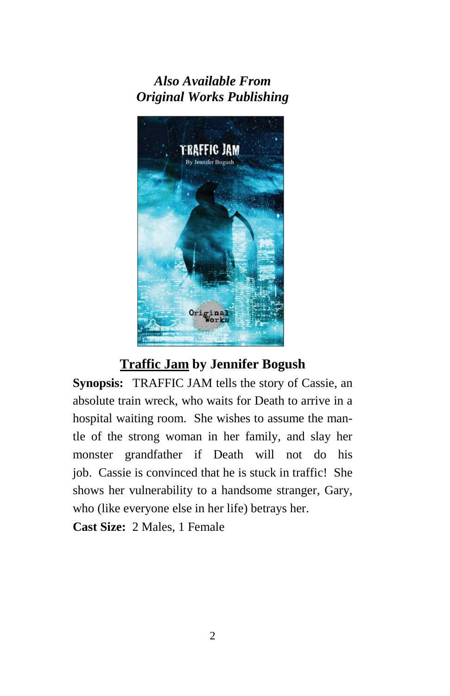# *Also Available From Original Works Publishing*



## **Traffic Jam by Jennifer Bogush**

**Synopsis:** TRAFFIC JAM tells the story of Cassie, an absolute train wreck, who waits for Death to arrive in a hospital waiting room. She wishes to assume the mantle of the strong woman in her family, and slay her monster grandfather if Death will not do his job. Cassie is convinced that he is stuck in traffic! She shows her vulnerability to a handsome stranger, Gary, who (like everyone else in her life) betrays her.

**Cast Size:** 2 Males, 1 Female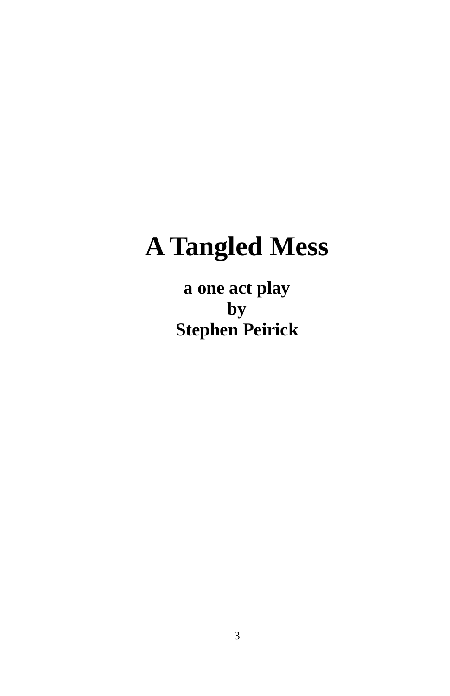# **A Tangled Mess**

**a one act play by Stephen Peirick**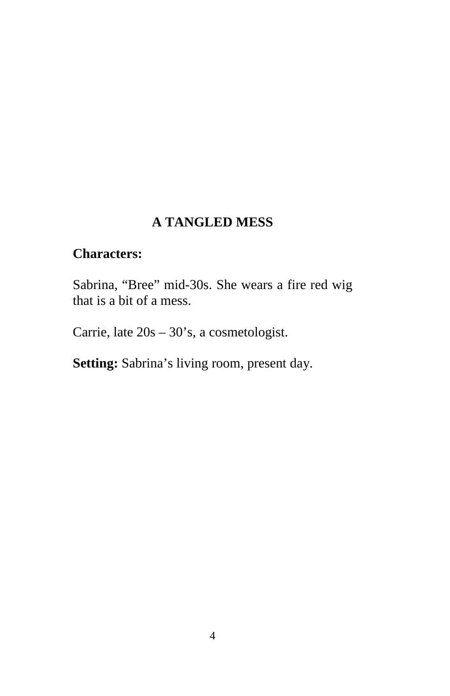## **A TANGLED MESS**

## **Characters:**

Sabrina, "Bree" mid-30s. She wears a fire red wig that is a bit of a mess.

Carrie, late 20s – 30's, a cosmetologist.

**Setting:** Sabrina's living room, present day.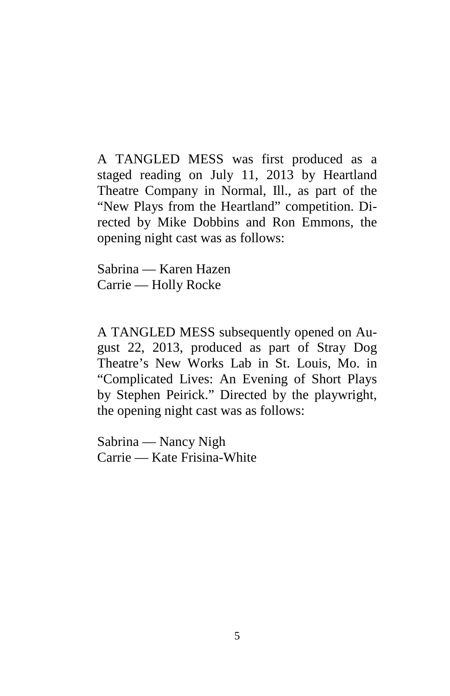A TANGLED MESS was first produced as a staged reading on July 11, 2013 by Heartland Theatre Company in Normal, Ill., as part of the "New Plays from the Heartland" competition. Directed by Mike Dobbins and Ron Emmons, the opening night cast was as follows:

Sabrina — Karen Hazen Carrie — Holly Rocke

A TANGLED MESS subsequently opened on August 22, 2013, produced as part of Stray Dog Theatre's New Works Lab in St. Louis, Mo. in "Complicated Lives: An Evening of Short Plays by Stephen Peirick." Directed by the playwright, the opening night cast was as follows:

Sabrina — Nancy Nigh Carrie — Kate Frisina-White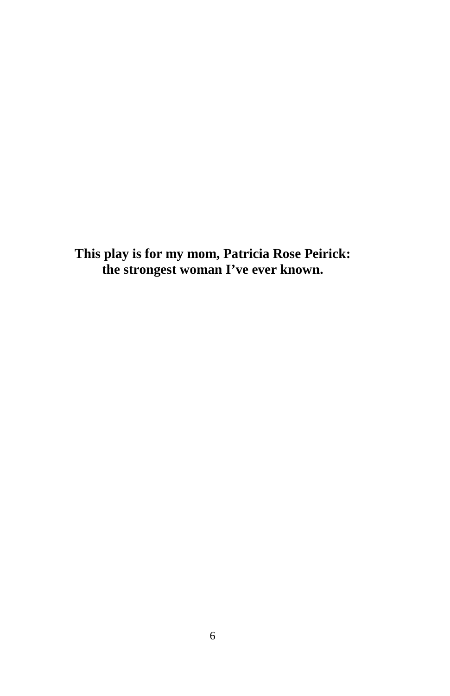**This play is for my mom, Patricia Rose Peirick: the strongest woman I've ever known.**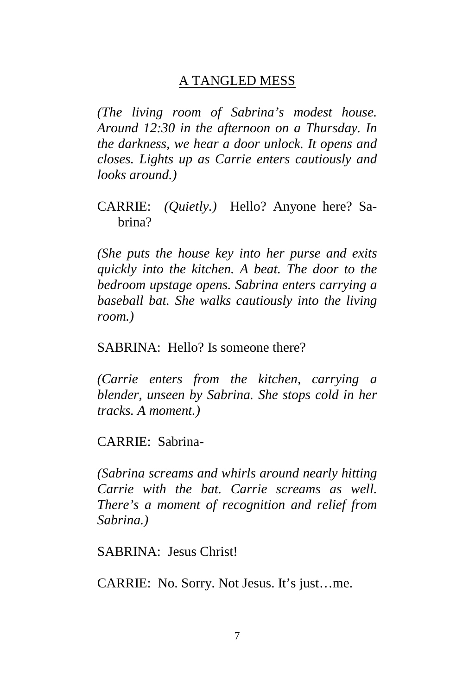### A TANGLED MESS

*(The living room of Sabrina's modest house. Around 12:30 in the afternoon on a Thursday. In the darkness, we hear a door unlock. It opens and closes. Lights up as Carrie enters cautiously and looks around.)* 

CARRIE: *(Quietly.)* Hello? Anyone here? Sabrina?

*(She puts the house key into her purse and exits quickly into the kitchen. A beat. The door to the bedroom upstage opens. Sabrina enters carrying a baseball bat. She walks cautiously into the living room.)*

SABRINA: Hello? Is someone there?

*(Carrie enters from the kitchen, carrying a blender, unseen by Sabrina. She stops cold in her tracks. A moment.)*

CARRIE: Sabrina-

*(Sabrina screams and whirls around nearly hitting Carrie with the bat. Carrie screams as well. There's a moment of recognition and relief from Sabrina.)*

SABRINA: Jesus Christ!

CARRIE: No. Sorry. Not Jesus. It's just…me.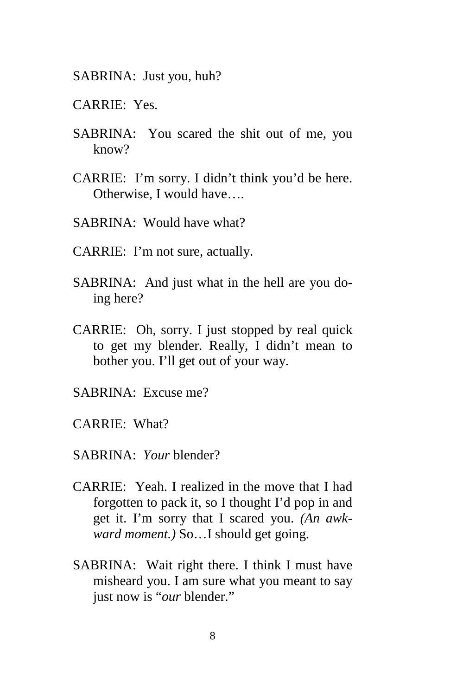SABRINA: Just you, huh?

CARRIE: Yes.

- SABRINA: You scared the shit out of me, you know?
- CARRIE: I'm sorry. I didn't think you'd be here. Otherwise, I would have….
- SABRINA: Would have what?
- CARRIE: I'm not sure, actually.
- SABRINA: And just what in the hell are you doing here?
- CARRIE: Oh, sorry. I just stopped by real quick to get my blender. Really, I didn't mean to bother you. I'll get out of your way.
- SABRINA: Excuse me?
- CARRIE: What?
- SABRINA: *Your* blender?
- CARRIE: Yeah. I realized in the move that I had forgotten to pack it, so I thought I'd pop in and get it. I'm sorry that I scared you. *(An awkward moment.)* So…I should get going.
- SABRINA: Wait right there. I think I must have misheard you. I am sure what you meant to say just now is "*our* blender."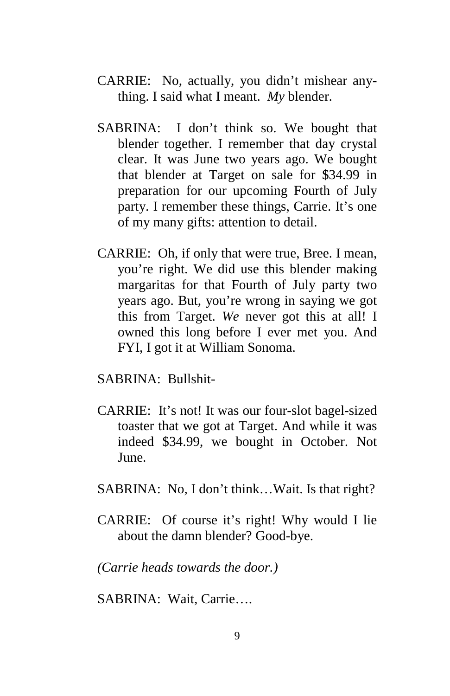- CARRIE: No, actually, you didn't mishear anything. I said what I meant. *My* blender.
- SABRINA: I don't think so. We bought that blender together. I remember that day crystal clear. It was June two years ago. We bought that blender at Target on sale for \$34.99 in preparation for our upcoming Fourth of July party. I remember these things, Carrie. It's one of my many gifts: attention to detail.
- CARRIE: Oh, if only that were true, Bree. I mean, you're right. We did use this blender making margaritas for that Fourth of July party two years ago. But, you're wrong in saying we got this from Target. *We* never got this at all! I owned this long before I ever met you. And FYI, I got it at William Sonoma.
- SABRINA: Bullshit-
- CARRIE: It's not! It was our four-slot bagel-sized toaster that we got at Target. And while it was indeed \$34.99, we bought in October. Not June.
- SABRINA: No, I don't think…Wait. Is that right?
- CARRIE: Of course it's right! Why would I lie about the damn blender? Good-bye.

*(Carrie heads towards the door.)*

SABRINA: Wait, Carrie….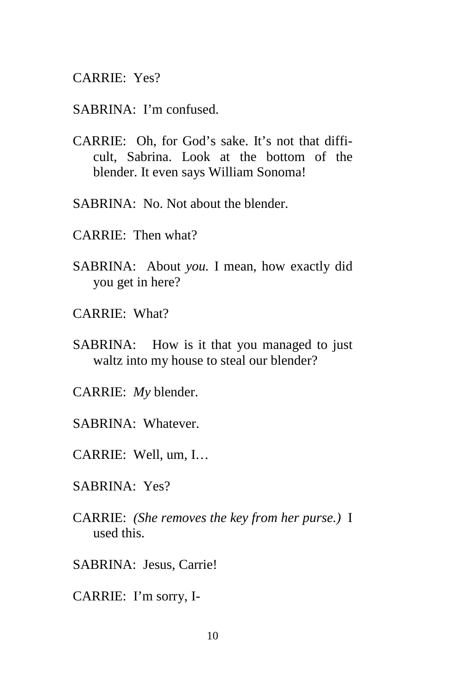CARRIE: Yes?

- SABRINA: I'm confused.
- CARRIE: Oh, for God's sake. It's not that difficult, Sabrina. Look at the bottom of the blender. It even says William Sonoma!
- SABRINA: No. Not about the blender.
- CARRIE: Then what?
- SABRINA: About *you.* I mean, how exactly did you get in here?
- CARRIE: What?
- SABRINA: How is it that you managed to just waltz into my house to steal our blender?
- CARRIE: *My* blender.
- SABRINA: Whatever.
- CARRIE: Well, um, I…
- SABRINA: Yes?
- CARRIE: *(She removes the key from her purse.)* I used this.
- SABRINA: Jesus, Carrie!
- CARRIE: I'm sorry, I-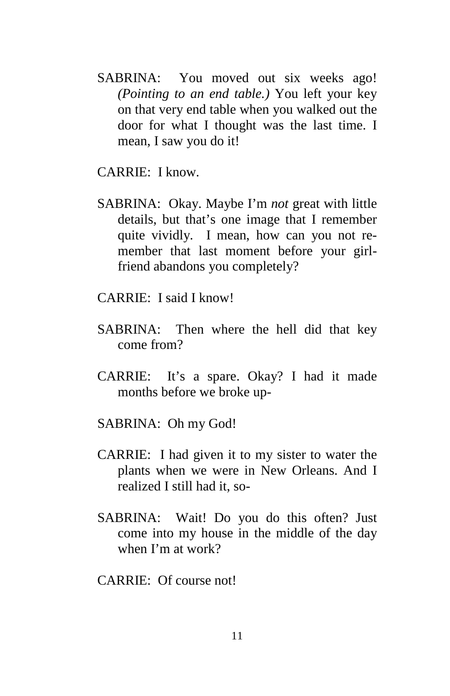- SABRINA: You moved out six weeks ago! *(Pointing to an end table.)* You left your key on that very end table when you walked out the door for what I thought was the last time. I mean, I saw you do it!
- CARRIE: I know.
- SABRINA: Okay. Maybe I'm *not* great with little details, but that's one image that I remember quite vividly. I mean, how can you not remember that last moment before your girlfriend abandons you completely?
- CARRIE: I said I know!
- SABRINA: Then where the hell did that key come from?
- CARRIE: It's a spare. Okay? I had it made months before we broke up-
- SABRINA: Oh my God!
- CARRIE: I had given it to my sister to water the plants when we were in New Orleans. And I realized I still had it, so-
- SABRINA: Wait! Do you do this often? Just come into my house in the middle of the day when I'm at work?
- CARRIE: Of course not!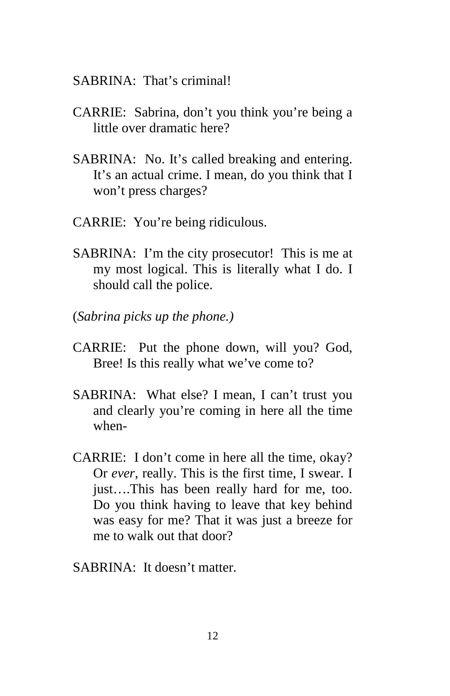### SABRINA: That's criminal!

- CARRIE: Sabrina, don't you think you're being a little over dramatic here?
- SABRINA: No. It's called breaking and entering. It's an actual crime. I mean, do you think that I won't press charges?
- CARRIE: You're being ridiculous.
- SABRINA: I'm the city prosecutor! This is me at my most logical. This is literally what I do. I should call the police.
- (*Sabrina picks up the phone.)*
- CARRIE: Put the phone down, will you? God, Bree! Is this really what we've come to?
- SABRINA: What else? I mean, I can't trust you and clearly you're coming in here all the time when-
- CARRIE: I don't come in here all the time, okay? Or *ever*, really. This is the first time, I swear. I just….This has been really hard for me, too. Do you think having to leave that key behind was easy for me? That it was just a breeze for me to walk out that door?
- SABRINA: It doesn't matter.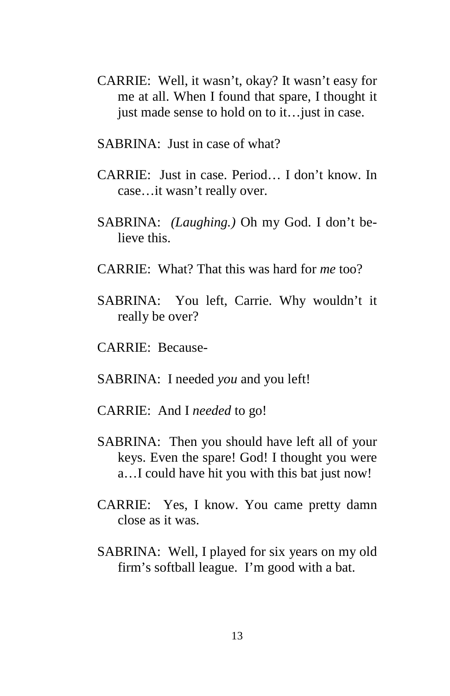- CARRIE: Well, it wasn't, okay? It wasn't easy for me at all. When I found that spare, I thought it just made sense to hold on to it…just in case.
- SABRINA: Just in case of what?
- CARRIE: Just in case. Period… I don't know. In case…it wasn't really over.
- SABRINA: *(Laughing.)* Oh my God. I don't believe this.
- CARRIE: What? That this was hard for *me* too?
- SABRINA: You left, Carrie. Why wouldn't it really be over?
- CARRIE: Because-
- SABRINA: I needed *you* and you left!
- CARRIE: And I *needed* to go!
- SABRINA: Then you should have left all of your keys. Even the spare! God! I thought you were a…I could have hit you with this bat just now!
- CARRIE: Yes, I know. You came pretty damn close as it was.
- SABRINA: Well, I played for six years on my old firm's softball league. I'm good with a bat.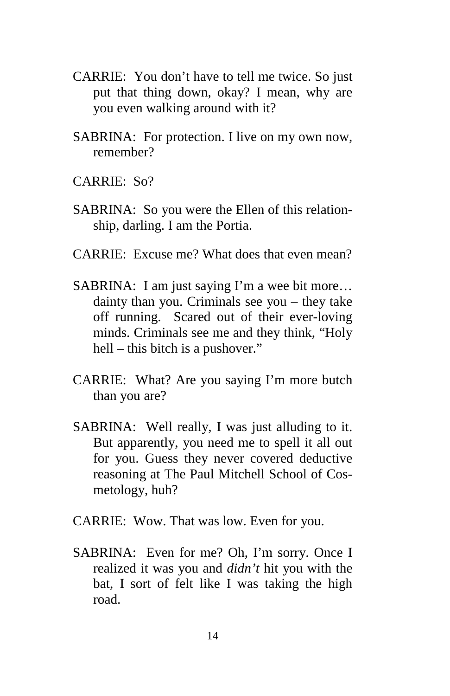- CARRIE: You don't have to tell me twice. So just put that thing down, okay? I mean, why are you even walking around with it?
- SABRINA: For protection. I live on my own now, remember?
- CARRIE: So?
- SABRINA: So you were the Ellen of this relationship, darling. I am the Portia.
- CARRIE: Excuse me? What does that even mean?
- SABRINA: I am just saying I'm a wee bit more… dainty than you. Criminals see you – they take off running. Scared out of their ever-loving minds. Criminals see me and they think, "Holy hell – this bitch is a pushover."
- CARRIE: What? Are you saying I'm more butch than you are?
- SABRINA: Well really, I was just alluding to it. But apparently, you need me to spell it all out for you. Guess they never covered deductive reasoning at The Paul Mitchell School of Cosmetology, huh?
- CARRIE: Wow. That was low. Even for you.
- SABRINA: Even for me? Oh, I'm sorry. Once I realized it was you and *didn't* hit you with the bat, I sort of felt like I was taking the high road.